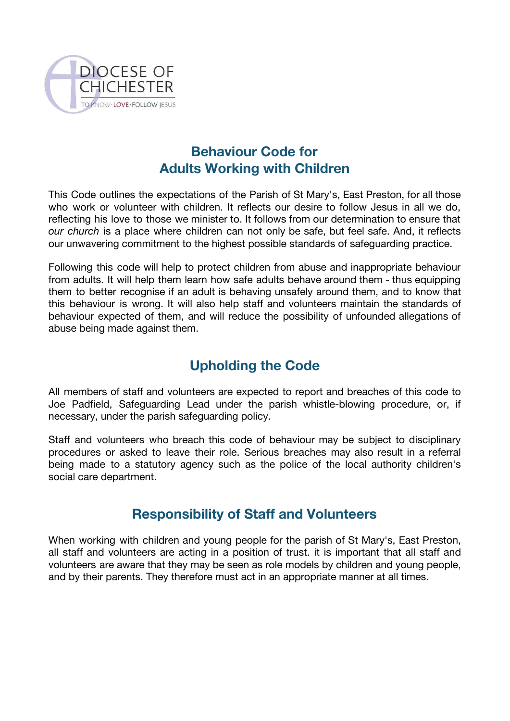

## **Behaviour Code for Adults Working with Children**

This Code outlines the expectations of the Parish of St Mary's, East Preston, for all those who work or volunteer with children. It reflects our desire to follow Jesus in all we do, reflecting his love to those we minister to. It follows from our determination to ensure that *our church* is a place where children can not only be safe, but feel safe. And, it reflects our unwavering commitment to the highest possible standards of safeguarding practice.

Following this code will help to protect children from abuse and inappropriate behaviour from adults. It will help them learn how safe adults behave around them - thus equipping them to better recognise if an adult is behaving unsafely around them, and to know that this behaviour is wrong. It will also help staff and volunteers maintain the standards of behaviour expected of them, and will reduce the possibility of unfounded allegations of abuse being made against them.

## **Upholding the Code**

All members of staff and volunteers are expected to report and breaches of this code to Joe Padfield, Safeguarding Lead under the parish whistle-blowing procedure, or, if necessary, under the parish safeguarding policy.

Staff and volunteers who breach this code of behaviour may be subject to disciplinary procedures or asked to leave their role. Serious breaches may also result in a referral being made to a statutory agency such as the police of the local authority children's social care department.

## **Responsibility of Staff and Volunteers**

When working with children and young people for the parish of St Mary's, East Preston, all staff and volunteers are acting in a position of trust. it is important that all staff and volunteers are aware that they may be seen as role models by children and young people, and by their parents. They therefore must act in an appropriate manner at all times.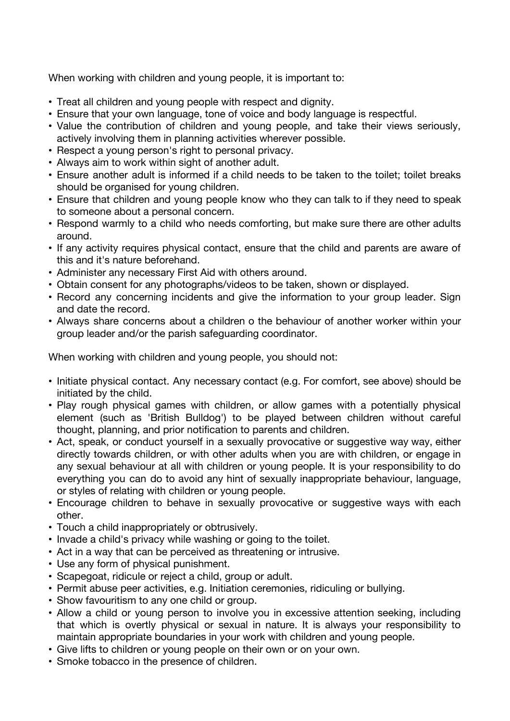When working with children and young people, it is important to:

- Treat all children and young people with respect and dignity.
- Ensure that your own language, tone of voice and body language is respectful.
- Value the contribution of children and young people, and take their views seriously, actively involving them in planning activities wherever possible.
- Respect a young person's right to personal privacy.
- Always aim to work within sight of another adult.
- Ensure another adult is informed if a child needs to be taken to the toilet; toilet breaks should be organised for young children.
- Ensure that children and young people know who they can talk to if they need to speak to someone about a personal concern.
- Respond warmly to a child who needs comforting, but make sure there are other adults around.
- If any activity requires physical contact, ensure that the child and parents are aware of this and it's nature beforehand.
- Administer any necessary First Aid with others around.
- Obtain consent for any photographs/videos to be taken, shown or displayed.
- Record any concerning incidents and give the information to your group leader. Sign and date the record.
- Always share concerns about a children o the behaviour of another worker within your group leader and/or the parish safeguarding coordinator.

When working with children and young people, you should not:

- Initiate physical contact. Any necessary contact (e.g. For comfort, see above) should be initiated by the child.
- Play rough physical games with children, or allow games with a potentially physical element (such as 'British Bulldog') to be played between children without careful thought, planning, and prior notification to parents and children.
- Act, speak, or conduct yourself in a sexually provocative or suggestive way way, either directly towards children, or with other adults when you are with children, or engage in any sexual behaviour at all with children or young people. It is your responsibility to do everything you can do to avoid any hint of sexually inappropriate behaviour, language, or styles of relating with children or young people.
- Encourage children to behave in sexually provocative or suggestive ways with each other.
- Touch a child inappropriately or obtrusively.
- Invade a child's privacy while washing or going to the toilet.
- Act in a way that can be perceived as threatening or intrusive.
- Use any form of physical punishment.
- Scapegoat, ridicule or reject a child, group or adult.
- Permit abuse peer activities, e.g. Initiation ceremonies, ridiculing or bullying.
- Show favouritism to any one child or group.
- Allow a child or young person to involve you in excessive attention seeking, including that which is overtly physical or sexual in nature. It is always your responsibility to maintain appropriate boundaries in your work with children and young people.
- Give lifts to children or young people on their own or on your own.
- Smoke tobacco in the presence of children.